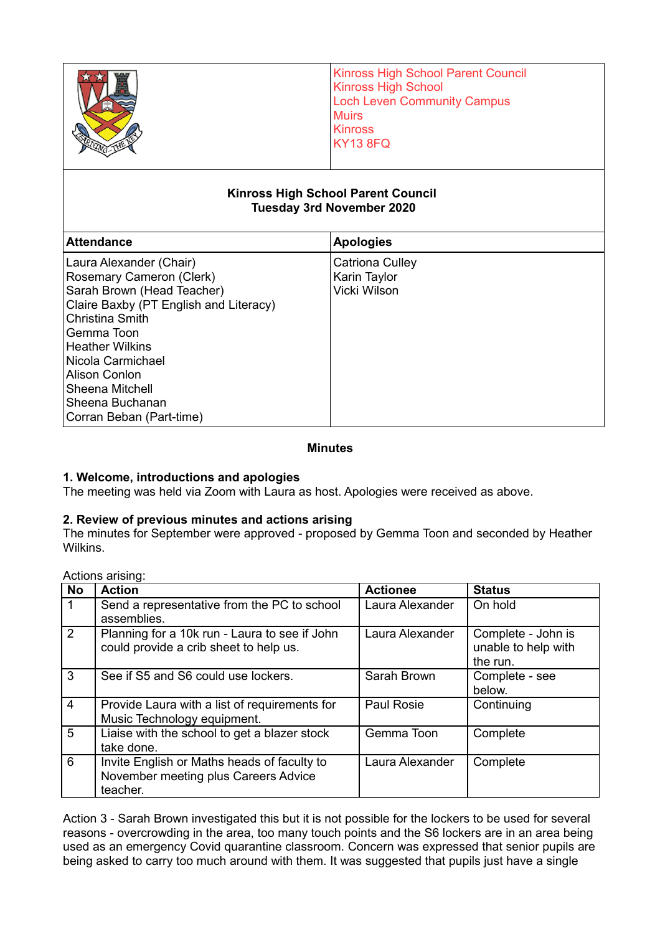|                                                                                                                                                                     | <b>Kinross High School Parent Council</b><br><b>Kinross High School</b><br><b>Loch Leven Community Campus</b><br><b>Muirs</b><br><b>Kinross</b><br><b>KY13 8FQ</b> |  |  |  |
|---------------------------------------------------------------------------------------------------------------------------------------------------------------------|--------------------------------------------------------------------------------------------------------------------------------------------------------------------|--|--|--|
| <b>Kinross High School Parent Council</b><br><b>Tuesday 3rd November 2020</b>                                                                                       |                                                                                                                                                                    |  |  |  |
| <b>Attendance</b>                                                                                                                                                   | <b>Apologies</b>                                                                                                                                                   |  |  |  |
| Laura Alexander (Chair)<br><b>Rosemary Cameron (Clerk)</b><br>Sarah Brown (Head Teacher)<br>Claire Baxby (PT English and Literacy)<br>Christina Smith<br>Gemma Toon | Catriona Culley<br>Karin Taylor<br>Vicki Wilson                                                                                                                    |  |  |  |

#### **Minutes**

#### **1. Welcome, introductions and apologies**

The meeting was held via Zoom with Laura as host. Apologies were received as above.

#### **2. Review of previous minutes and actions arising**

The minutes for September were approved - proposed by Gemma Toon and seconded by Heather Wilkins.

Actions arising:

Heather Wilkins Nicola Carmichael Alison Conlon Sheena Mitchell Sheena Buchanan Corran Beban (Part-time)

| <b>No</b>      | <b>Action</b>                                                                                   | <b>Actionee</b>   | <b>Status</b>                                         |
|----------------|-------------------------------------------------------------------------------------------------|-------------------|-------------------------------------------------------|
| $\overline{1}$ | Send a representative from the PC to school<br>assemblies.                                      | Laura Alexander   | On hold                                               |
| $\overline{2}$ | Planning for a 10k run - Laura to see if John<br>could provide a crib sheet to help us.         | Laura Alexander   | Complete - John is<br>unable to help with<br>the run. |
| 3              | See if S5 and S6 could use lockers.                                                             | Sarah Brown       | Complete - see<br>below.                              |
| $\overline{4}$ | Provide Laura with a list of requirements for<br>Music Technology equipment.                    | <b>Paul Rosie</b> | Continuing                                            |
| $\overline{5}$ | Liaise with the school to get a blazer stock<br>take done.                                      | Gemma Toon        | Complete                                              |
| $\overline{6}$ | Invite English or Maths heads of faculty to<br>November meeting plus Careers Advice<br>teacher. | Laura Alexander   | Complete                                              |

Action 3 - Sarah Brown investigated this but it is not possible for the lockers to be used for several reasons - overcrowding in the area, too many touch points and the S6 lockers are in an area being used as an emergency Covid quarantine classroom. Concern was expressed that senior pupils are being asked to carry too much around with them. It was suggested that pupils just have a single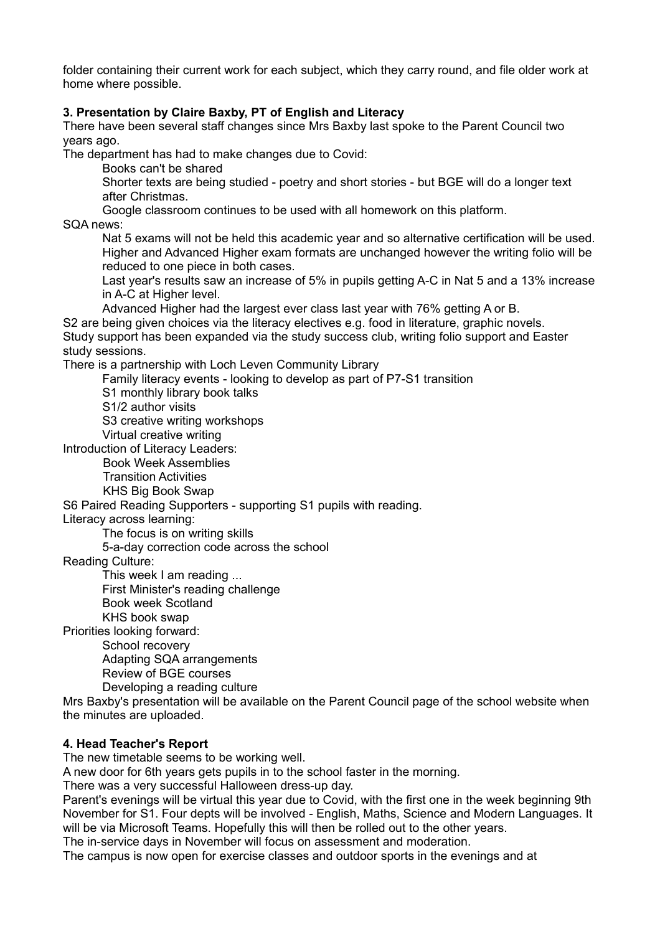folder containing their current work for each subject, which they carry round, and file older work at home where possible.

### **3. Presentation by Claire Baxby, PT of English and Literacy**

There have been several staff changes since Mrs Baxby last spoke to the Parent Council two years ago.

The department has had to make changes due to Covid:

Books can't be shared

Shorter texts are being studied - poetry and short stories - but BGE will do a longer text after Christmas.

Google classroom continues to be used with all homework on this platform.

SQA news:

Nat 5 exams will not be held this academic year and so alternative certification will be used. Higher and Advanced Higher exam formats are unchanged however the writing folio will be reduced to one piece in both cases.

Last year's results saw an increase of 5% in pupils getting A-C in Nat 5 and a 13% increase in A-C at Higher level.

Advanced Higher had the largest ever class last year with 76% getting A or B.

S2 are being given choices via the literacy electives e.g. food in literature, graphic novels. Study support has been expanded via the study success club, writing folio support and Easter study sessions.

There is a partnership with Loch Leven Community Library

Family literacy events - looking to develop as part of P7-S1 transition

S1 monthly library book talks

S1/2 author visits

S3 creative writing workshops

Virtual creative writing

Introduction of Literacy Leaders:

Book Week Assemblies

Transition Activities

KHS Big Book Swap

S6 Paired Reading Supporters - supporting S1 pupils with reading.

Literacy across learning:

The focus is on writing skills

5-a-day correction code across the school

Reading Culture:

This week I am reading ...

First Minister's reading challenge

Book week Scotland

KHS book swap

Priorities looking forward:

School recovery

Adapting SQA arrangements

Review of BGE courses

Developing a reading culture

Mrs Baxby's presentation will be available on the Parent Council page of the school website when the minutes are uploaded.

#### **4. Head Teacher's Report**

The new timetable seems to be working well.

A new door for 6th years gets pupils in to the school faster in the morning.

There was a very successful Halloween dress-up day.

Parent's evenings will be virtual this year due to Covid, with the first one in the week beginning 9th November for S1. Four depts will be involved - English, Maths, Science and Modern Languages. It will be via Microsoft Teams. Hopefully this will then be rolled out to the other years.

The in-service days in November will focus on assessment and moderation.

The campus is now open for exercise classes and outdoor sports in the evenings and at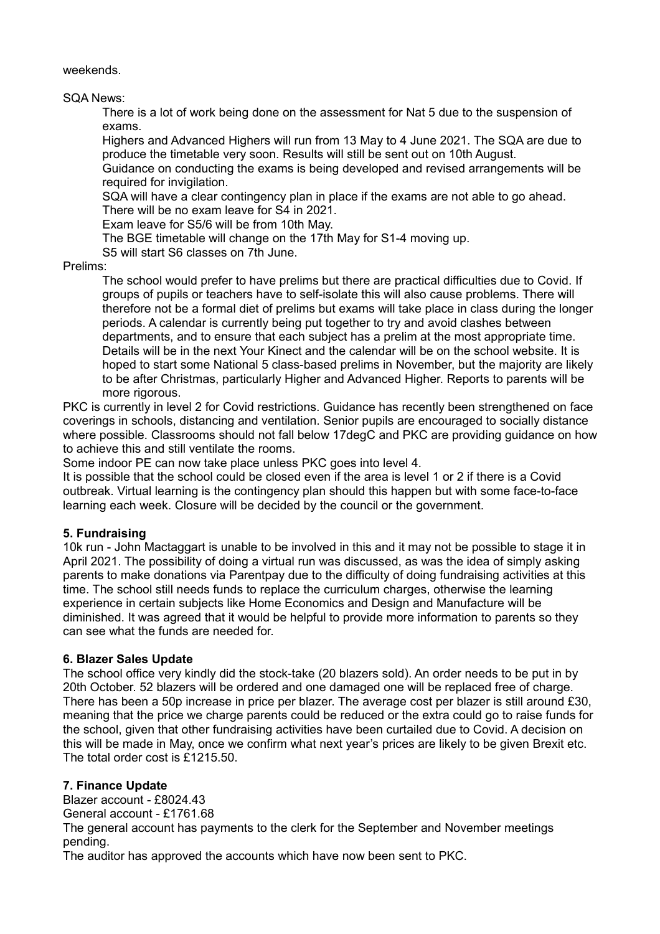weekends.

SQA News:

There is a lot of work being done on the assessment for Nat 5 due to the suspension of exams.

Highers and Advanced Highers will run from 13 May to 4 June 2021. The SQA are due to produce the timetable very soon. Results will still be sent out on 10th August.

Guidance on conducting the exams is being developed and revised arrangements will be required for invigilation.

SQA will have a clear contingency plan in place if the exams are not able to go ahead. There will be no exam leave for S4 in 2021.

Exam leave for S5/6 will be from 10th May.

The BGE timetable will change on the 17th May for S1-4 moving up.

S5 will start S6 classes on 7th June.

Prelims:

The school would prefer to have prelims but there are practical difficulties due to Covid. If groups of pupils or teachers have to self-isolate this will also cause problems. There will therefore not be a formal diet of prelims but exams will take place in class during the longer periods. A calendar is currently being put together to try and avoid clashes between departments, and to ensure that each subject has a prelim at the most appropriate time. Details will be in the next Your Kinect and the calendar will be on the school website. It is hoped to start some National 5 class-based prelims in November, but the majority are likely to be after Christmas, particularly Higher and Advanced Higher. Reports to parents will be more rigorous.

PKC is currently in level 2 for Covid restrictions. Guidance has recently been strengthened on face coverings in schools, distancing and ventilation. Senior pupils are encouraged to socially distance where possible. Classrooms should not fall below 17degC and PKC are providing guidance on how to achieve this and still ventilate the rooms.

Some indoor PE can now take place unless PKC goes into level 4.

It is possible that the school could be closed even if the area is level 1 or 2 if there is a Covid outbreak. Virtual learning is the contingency plan should this happen but with some face-to-face learning each week. Closure will be decided by the council or the government.

#### **5. Fundraising**

10k run - John Mactaggart is unable to be involved in this and it may not be possible to stage it in April 2021. The possibility of doing a virtual run was discussed, as was the idea of simply asking parents to make donations via Parentpay due to the difficulty of doing fundraising activities at this time. The school still needs funds to replace the curriculum charges, otherwise the learning experience in certain subjects like Home Economics and Design and Manufacture will be diminished. It was agreed that it would be helpful to provide more information to parents so they can see what the funds are needed for.

#### **6. Blazer Sales Update**

The school office very kindly did the stock-take (20 blazers sold). An order needs to be put in by 20th October. 52 blazers will be ordered and one damaged one will be replaced free of charge. There has been a 50p increase in price per blazer. The average cost per blazer is still around £30, meaning that the price we charge parents could be reduced or the extra could go to raise funds for the school, given that other fundraising activities have been curtailed due to Covid. A decision on this will be made in May, once we confirm what next year's prices are likely to be given Brexit etc. The total order cost is £1215.50.

### **7. Finance Update**

Blazer account - £8024.43 General account - £1761.68

The general account has payments to the clerk for the September and November meetings pending.

The auditor has approved the accounts which have now been sent to PKC.